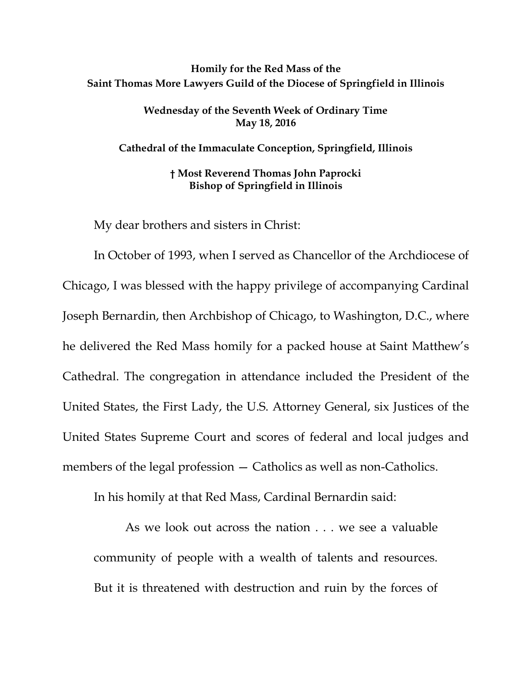## **Homily for the Red Mass of the Saint Thomas More Lawyers Guild of the Diocese of Springfield in Illinois**

**Wednesday of the Seventh Week of Ordinary Time May 18, 2016**

**Cathedral of the Immaculate Conception, Springfield, Illinois**

**† Most Reverend Thomas John Paprocki Bishop of Springfield in Illinois**

My dear brothers and sisters in Christ:

In October of 1993, when I served as Chancellor of the Archdiocese of Chicago, I was blessed with the happy privilege of accompanying Cardinal Joseph Bernardin, then Archbishop of Chicago, to Washington, D.C., where he delivered the Red Mass homily for a packed house at Saint Matthew's Cathedral. The congregation in attendance included the President of the United States, the First Lady, the U.S. Attorney General, six Justices of the United States Supreme Court and scores of federal and local judges and members of the legal profession — Catholics as well as non-Catholics.

In his homily at that Red Mass, Cardinal Bernardin said:

As we look out across the nation . . . we see a valuable community of people with a wealth of talents and resources. But it is threatened with destruction and ruin by the forces of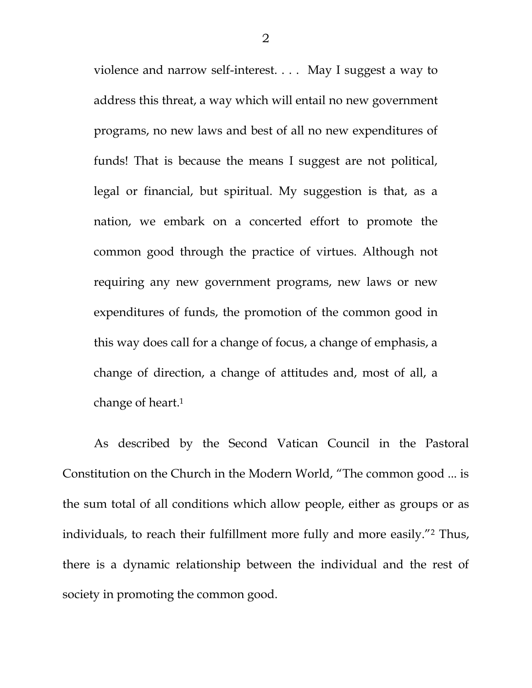violence and narrow self-interest. . . . May I suggest a way to address this threat, a way which will entail no new government programs, no new laws and best of all no new expenditures of funds! That is because the means I suggest are not political, legal or financial, but spiritual. My suggestion is that, as a nation, we embark on a concerted effort to promote the common good through the practice of virtues. Although not requiring any new government programs, new laws or new expenditures of funds, the promotion of the common good in this way does call for a change of focus, a change of emphasis, a change of direction, a change of attitudes and, most of all, a change of heart.<sup>1</sup>

As described by the Second Vatican Council in the Pastoral Constitution on the Church in the Modern World, "The common good ... is the sum total of all conditions which allow people, either as groups or as individuals, to reach their fulfillment more fully and more easily."<sup>2</sup> Thus, there is a dynamic relationship between the individual and the rest of society in promoting the common good.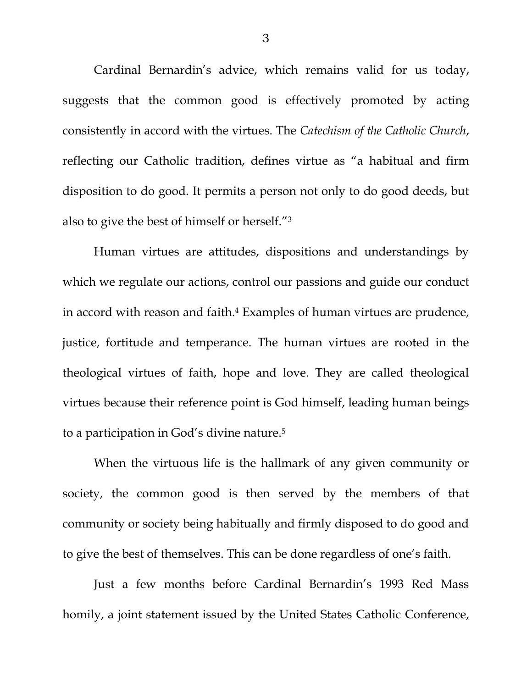Cardinal Bernardin's advice, which remains valid for us today, suggests that the common good is effectively promoted by acting consistently in accord with the virtues. The *Catechism of the Catholic Church*, reflecting our Catholic tradition, defines virtue as "a habitual and firm disposition to do good. It permits a person not only to do good deeds, but also to give the best of himself or herself."<sup>3</sup>

Human virtues are attitudes, dispositions and understandings by which we regulate our actions, control our passions and guide our conduct in accord with reason and faith.<sup>4</sup> Examples of human virtues are prudence, justice, fortitude and temperance. The human virtues are rooted in the theological virtues of faith, hope and love. They are called theological virtues because their reference point is God himself, leading human beings to a participation in God's divine nature.<sup>5</sup>

When the virtuous life is the hallmark of any given community or society, the common good is then served by the members of that community or society being habitually and firmly disposed to do good and to give the best of themselves. This can be done regardless of one's faith.

Just a few months before Cardinal Bernardin's 1993 Red Mass homily, a joint statement issued by the United States Catholic Conference,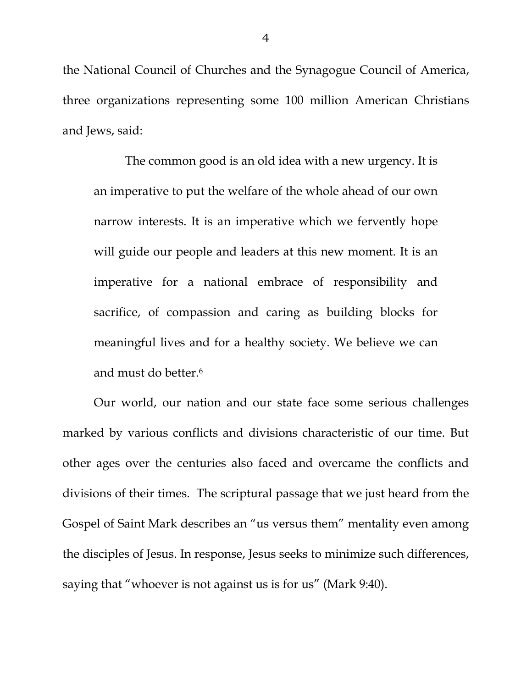the National Council of Churches and the Synagogue Council of America, three organizations representing some 100 million American Christians and Jews, said:

The common good is an old idea with a new urgency. It is an imperative to put the welfare of the whole ahead of our own narrow interests. It is an imperative which we fervently hope will guide our people and leaders at this new moment. It is an imperative for a national embrace of responsibility and sacrifice, of compassion and caring as building blocks for meaningful lives and for a healthy society. We believe we can and must do better.<sup>6</sup>

Our world, our nation and our state face some serious challenges marked by various conflicts and divisions characteristic of our time. But other ages over the centuries also faced and overcame the conflicts and divisions of their times. The scriptural passage that we just heard from the Gospel of Saint Mark describes an "us versus them" mentality even among the disciples of Jesus. In response, Jesus seeks to minimize such differences, saying that "whoever is not against us is for us" (Mark 9:40).

4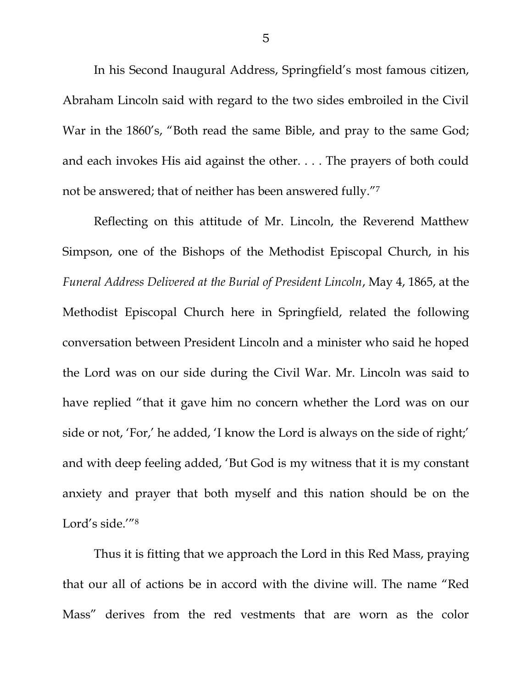In his Second Inaugural Address, Springfield's most famous citizen, Abraham Lincoln said with regard to the two sides embroiled in the Civil War in the 1860's, "Both read the same Bible, and pray to the same God; and each invokes His aid against the other. . . . The prayers of both could not be answered; that of neither has been answered fully."<sup>7</sup>

Reflecting on this attitude of Mr. Lincoln, the Reverend Matthew Simpson, one of the Bishops of the Methodist Episcopal Church, in his *Funeral Address Delivered at the Burial of President Lincoln*, May 4, 1865, at the Methodist Episcopal Church here in Springfield, related the following conversation between President Lincoln and a minister who said he hoped the Lord was on our side during the Civil War. Mr. Lincoln was said to have replied "that it gave him no concern whether the Lord was on our side or not, 'For,' he added, 'I know the Lord is always on the side of right;' and with deep feeling added, 'But God is my witness that it is my constant anxiety and prayer that both myself and this nation should be on the Lord's side.'"<sup>8</sup>

Thus it is fitting that we approach the Lord in this Red Mass, praying that our all of actions be in accord with the divine will. The name "Red Mass" derives from the red vestments that are worn as the color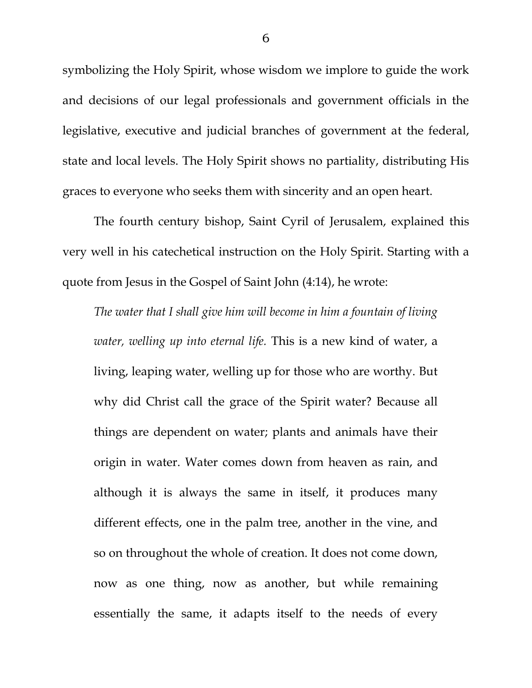symbolizing the Holy Spirit, whose wisdom we implore to guide the work and decisions of our legal professionals and government officials in the legislative, executive and judicial branches of government at the federal, state and local levels. The Holy Spirit shows no partiality, distributing His graces to everyone who seeks them with sincerity and an open heart.

The fourth century bishop, Saint Cyril of Jerusalem, explained this very well in his catechetical instruction on the Holy Spirit. Starting with a quote from Jesus in the Gospel of Saint John (4:14), he wrote:

*The water that I shall give him will become in him a fountain of living water, welling up into eternal life.* This is a new kind of water, a living, leaping water, welling up for those who are worthy. But why did Christ call the grace of the Spirit water? Because all things are dependent on water; plants and animals have their origin in water. Water comes down from heaven as rain, and although it is always the same in itself, it produces many different effects, one in the palm tree, another in the vine, and so on throughout the whole of creation. It does not come down, now as one thing, now as another, but while remaining essentially the same, it adapts itself to the needs of every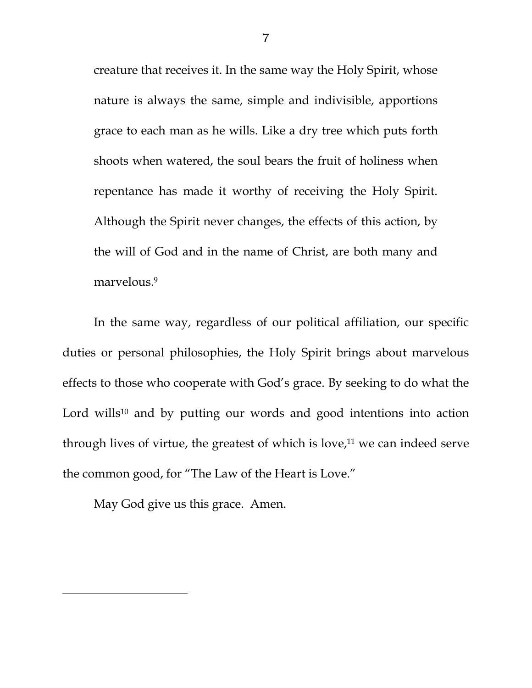creature that receives it. In the same way the Holy Spirit, whose nature is always the same, simple and indivisible, apportions grace to each man as he wills. Like a dry tree which puts forth shoots when watered, the soul bears the fruit of holiness when repentance has made it worthy of receiving the Holy Spirit. Although the Spirit never changes, the effects of this action, by the will of God and in the name of Christ, are both many and marvelous.<sup>9</sup>

In the same way, regardless of our political affiliation, our specific duties or personal philosophies, the Holy Spirit brings about marvelous effects to those who cooperate with God's grace. By seeking to do what the Lord wills<sup>10</sup> and by putting our words and good intentions into action through lives of virtue, the greatest of which is love, $11$  we can indeed serve the common good, for "The Law of the Heart is Love."

May God give us this grace. Amen.

l